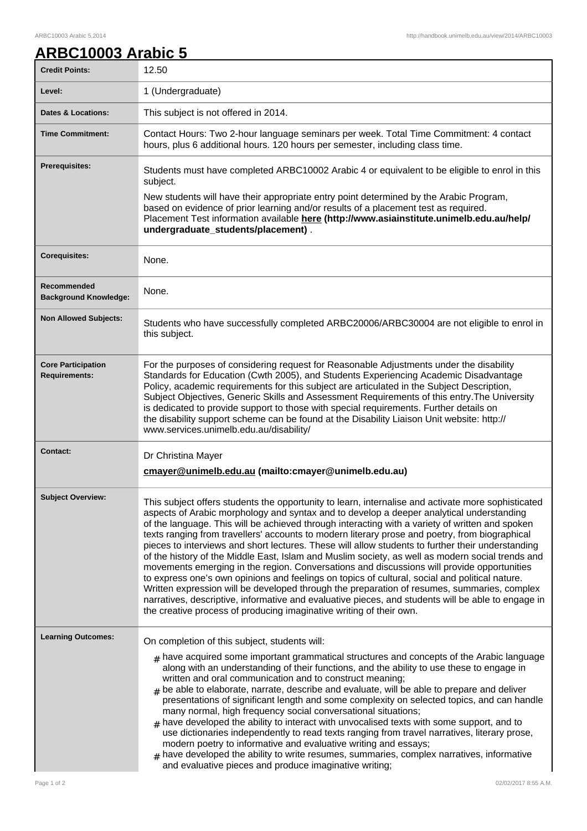## **ARBC10003 Arabic 5**

| <b>Credit Points:</b>                             | 12.50                                                                                                                                                                                                                                                                                                                                                                                                                                                                                                                                                                                                                                                                                                                                                                                                                                                                                                                                                                                                                                                                                    |
|---------------------------------------------------|------------------------------------------------------------------------------------------------------------------------------------------------------------------------------------------------------------------------------------------------------------------------------------------------------------------------------------------------------------------------------------------------------------------------------------------------------------------------------------------------------------------------------------------------------------------------------------------------------------------------------------------------------------------------------------------------------------------------------------------------------------------------------------------------------------------------------------------------------------------------------------------------------------------------------------------------------------------------------------------------------------------------------------------------------------------------------------------|
| Level:                                            | 1 (Undergraduate)                                                                                                                                                                                                                                                                                                                                                                                                                                                                                                                                                                                                                                                                                                                                                                                                                                                                                                                                                                                                                                                                        |
| <b>Dates &amp; Locations:</b>                     | This subject is not offered in 2014.                                                                                                                                                                                                                                                                                                                                                                                                                                                                                                                                                                                                                                                                                                                                                                                                                                                                                                                                                                                                                                                     |
| <b>Time Commitment:</b>                           | Contact Hours: Two 2-hour language seminars per week. Total Time Commitment: 4 contact<br>hours, plus 6 additional hours. 120 hours per semester, including class time.                                                                                                                                                                                                                                                                                                                                                                                                                                                                                                                                                                                                                                                                                                                                                                                                                                                                                                                  |
| <b>Prerequisites:</b>                             | Students must have completed ARBC10002 Arabic 4 or equivalent to be eligible to enrol in this<br>subject.<br>New students will have their appropriate entry point determined by the Arabic Program,<br>based on evidence of prior learning and/or results of a placement test as required.<br>Placement Test information available here (http://www.asiainstitute.unimelb.edu.au/help/<br>undergraduate_students/placement).                                                                                                                                                                                                                                                                                                                                                                                                                                                                                                                                                                                                                                                             |
| <b>Corequisites:</b>                              | None.                                                                                                                                                                                                                                                                                                                                                                                                                                                                                                                                                                                                                                                                                                                                                                                                                                                                                                                                                                                                                                                                                    |
| Recommended<br><b>Background Knowledge:</b>       | None.                                                                                                                                                                                                                                                                                                                                                                                                                                                                                                                                                                                                                                                                                                                                                                                                                                                                                                                                                                                                                                                                                    |
| <b>Non Allowed Subjects:</b>                      | Students who have successfully completed ARBC20006/ARBC30004 are not eligible to enrol in<br>this subject.                                                                                                                                                                                                                                                                                                                                                                                                                                                                                                                                                                                                                                                                                                                                                                                                                                                                                                                                                                               |
| <b>Core Participation</b><br><b>Requirements:</b> | For the purposes of considering request for Reasonable Adjustments under the disability<br>Standards for Education (Cwth 2005), and Students Experiencing Academic Disadvantage<br>Policy, academic requirements for this subject are articulated in the Subject Description,<br>Subject Objectives, Generic Skills and Assessment Requirements of this entry. The University<br>is dedicated to provide support to those with special requirements. Further details on<br>the disability support scheme can be found at the Disability Liaison Unit website: http://<br>www.services.unimelb.edu.au/disability/                                                                                                                                                                                                                                                                                                                                                                                                                                                                         |
| <b>Contact:</b>                                   | Dr Christina Mayer<br>cmayer@unimelb.edu.au (mailto:cmayer@unimelb.edu.au)                                                                                                                                                                                                                                                                                                                                                                                                                                                                                                                                                                                                                                                                                                                                                                                                                                                                                                                                                                                                               |
| <b>Subject Overview:</b>                          | This subject offers students the opportunity to learn, internalise and activate more sophisticated<br>aspects of Arabic morphology and syntax and to develop a deeper analytical understanding<br>of the language. This will be achieved through interacting with a variety of written and spoken<br>texts ranging from travellers' accounts to modern literary prose and poetry, from biographical<br>pieces to interviews and short lectures. These will allow students to further their understanding<br>of the history of the Middle East, Islam and Muslim society, as well as modern social trends and<br>movements emerging in the region. Conversations and discussions will provide opportunities<br>to express one's own opinions and feelings on topics of cultural, social and political nature.<br>Written expression will be developed through the preparation of resumes, summaries, complex<br>narratives, descriptive, informative and evaluative pieces, and students will be able to engage in<br>the creative process of producing imaginative writing of their own. |
| <b>Learning Outcomes:</b>                         | On completion of this subject, students will:<br>$_{\text{\#}}$ have acquired some important grammatical structures and concepts of the Arabic language<br>along with an understanding of their functions, and the ability to use these to engage in<br>written and oral communication and to construct meaning;<br>$#$ be able to elaborate, narrate, describe and evaluate, will be able to prepare and deliver<br>presentations of significant length and some complexity on selected topics, and can handle<br>many normal, high frequency social conversational situations;<br>have developed the ability to interact with unvocalised texts with some support, and to<br>use dictionaries independently to read texts ranging from travel narratives, literary prose,<br>modern poetry to informative and evaluative writing and essays;<br>have developed the ability to write resumes, summaries, complex narratives, informative<br>#<br>and evaluative pieces and produce imaginative writing;                                                                                 |